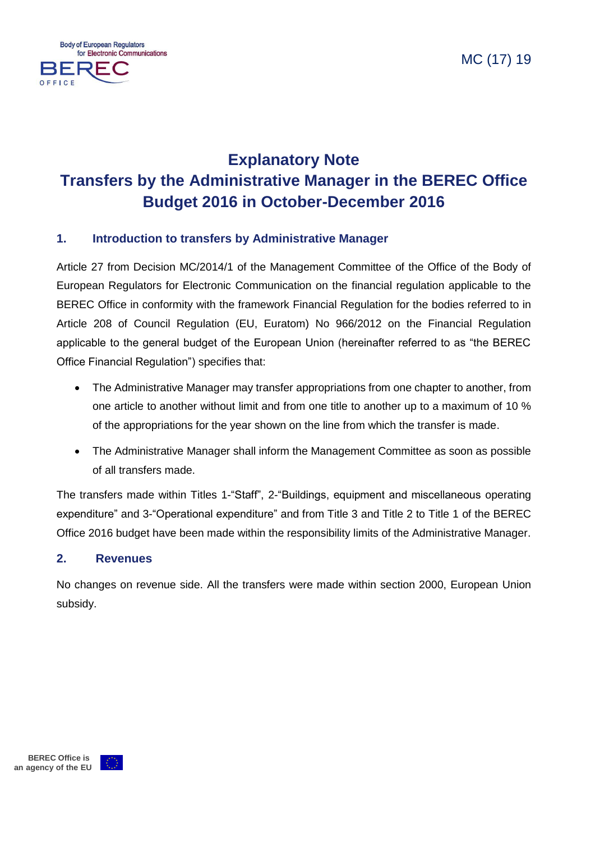

# **Explanatory Note Transfers by the Administrative Manager in the BEREC Office Budget 2016 in October-December 2016**

## **1. Introduction to transfers by Administrative Manager**

Article 27 from Decision MC/2014/1 of the Management Committee of the Office of the Body of European Regulators for Electronic Communication on the financial regulation applicable to the BEREC Office in conformity with the framework Financial Regulation for the bodies referred to in Article 208 of Council Regulation (EU, Euratom) No 966/2012 on the Financial Regulation applicable to the general budget of the European Union (hereinafter referred to as "the BEREC Office Financial Regulation") specifies that:

- The Administrative Manager may transfer appropriations from one chapter to another, from one article to another without limit and from one title to another up to a maximum of 10 % of the appropriations for the year shown on the line from which the transfer is made.
- The Administrative Manager shall inform the Management Committee as soon as possible of all transfers made.

The transfers made within Titles 1-"Staff", 2-"Buildings, equipment and miscellaneous operating expenditure" and 3-"Operational expenditure" and from Title 3 and Title 2 to Title 1 of the BEREC Office 2016 budget have been made within the responsibility limits of the Administrative Manager.

#### **2. Revenues**

No changes on revenue side. All the transfers were made within section 2000, European Union subsidy.

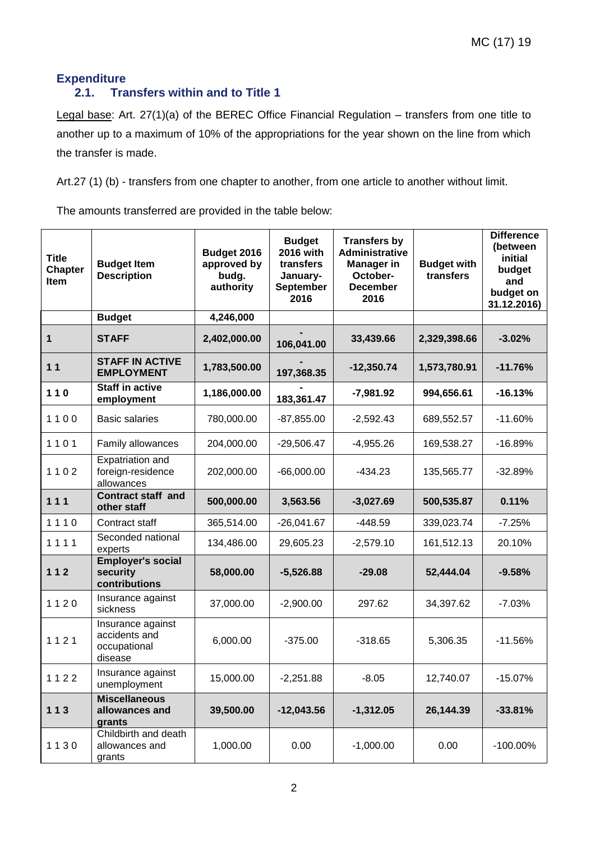## **Expenditure**

## **2.1. Transfers within and to Title 1**

Legal base: Art. 27(1)(a) of the BEREC Office Financial Regulation – transfers from one title to another up to a maximum of 10% of the appropriations for the year shown on the line from which the transfer is made.

Art.27 (1) (b) - transfers from one chapter to another, from one article to another without limit.

The amounts transferred are provided in the table below:

| <b>Title</b><br><b>Chapter</b><br><b>Item</b> | <b>Budget Item</b><br><b>Description</b>                      | Budget 2016<br>approved by<br>budg.<br>authority | <b>Budget</b><br>2016 with<br>transfers<br>January-<br>September<br>2016 | <b>Transfers by</b><br><b>Administrative</b><br><b>Manager in</b><br>October-<br><b>December</b><br>2016 | <b>Budget with</b><br>transfers | <b>Difference</b><br>(between<br>initial<br>budget<br>and<br>budget on<br>31.12.2016) |
|-----------------------------------------------|---------------------------------------------------------------|--------------------------------------------------|--------------------------------------------------------------------------|----------------------------------------------------------------------------------------------------------|---------------------------------|---------------------------------------------------------------------------------------|
|                                               | <b>Budget</b>                                                 | 4,246,000                                        |                                                                          |                                                                                                          |                                 |                                                                                       |
| $\mathbf 1$                                   | <b>STAFF</b>                                                  | 2,402,000.00                                     | 106,041.00                                                               | 33,439.66                                                                                                | 2,329,398.66                    | $-3.02%$                                                                              |
| 11                                            | <b>STAFF IN ACTIVE</b><br><b>EMPLOYMENT</b>                   | 1,783,500.00                                     | 197,368.35                                                               | $-12,350.74$                                                                                             | 1,573,780.91                    | $-11.76%$                                                                             |
| $110$                                         | <b>Staff in active</b><br>employment                          | 1,186,000.00                                     | 183,361.47                                                               | $-7,981.92$                                                                                              | 994,656.61                      | $-16.13%$                                                                             |
| 1100                                          | <b>Basic salaries</b>                                         | 780,000.00                                       | $-87,855.00$                                                             | $-2,592.43$                                                                                              | 689,552.57                      | $-11.60%$                                                                             |
| 1101                                          | Family allowances                                             | 204,000.00                                       | $-29,506.47$                                                             | $-4,955.26$                                                                                              | 169,538.27                      | $-16.89%$                                                                             |
| 1102                                          | Expatriation and<br>foreign-residence<br>allowances           | 202,000.00                                       | $-66,000.00$                                                             | $-434.23$                                                                                                | 135,565.77                      | $-32.89%$                                                                             |
| 111                                           | Contract staff and<br>other staff                             | 500,000.00                                       | 3,563.56                                                                 | $-3,027.69$                                                                                              | 500,535.87                      | 0.11%                                                                                 |
| 1110                                          | Contract staff                                                | 365,514.00                                       | $-26,041.67$                                                             | $-448.59$                                                                                                | 339,023.74                      | $-7.25%$                                                                              |
| 1111                                          | Seconded national<br>experts                                  | 134,486.00                                       | 29,605.23                                                                | $-2,579.10$                                                                                              | 161,512.13                      | 20.10%                                                                                |
| 112                                           | <b>Employer's social</b><br>security<br>contributions         | 58,000.00                                        | $-5,526.88$                                                              | $-29.08$                                                                                                 | 52,444.04                       | $-9.58%$                                                                              |
| 1120                                          | Insurance against<br>sickness                                 | 37,000.00                                        | $-2,900.00$                                                              | 297.62                                                                                                   | 34,397.62                       | $-7.03%$                                                                              |
| 1121                                          | Insurance against<br>accidents and<br>occupational<br>disease | 6,000.00                                         | $-375.00$                                                                | $-318.65$                                                                                                | 5,306.35                        | $-11.56%$                                                                             |
| 1122                                          | Insurance against<br>unemployment                             | 15,000.00                                        | $-2,251.88$                                                              | $-8.05$                                                                                                  | 12,740.07                       | $-15.07%$                                                                             |
| 113                                           | <b>Miscellaneous</b><br>allowances and<br>grants              | 39,500.00                                        | $-12,043.56$                                                             | $-1,312.05$                                                                                              | 26,144.39                       | $-33.81%$                                                                             |
| 1130                                          | Childbirth and death<br>allowances and<br>grants              | 1,000.00                                         | 0.00                                                                     | $-1,000.00$                                                                                              | 0.00                            | $-100.00\%$                                                                           |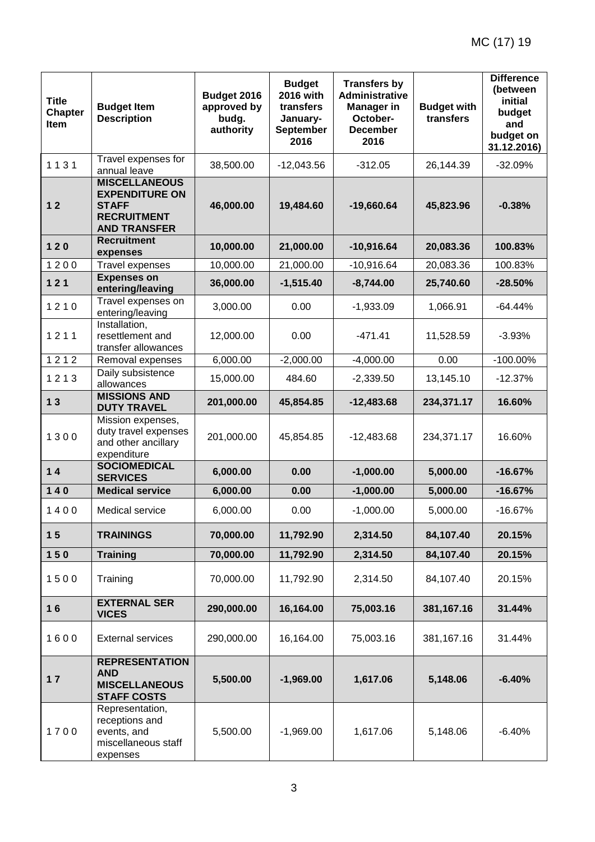| <b>Title</b><br><b>Chapter</b><br>Item | <b>Budget Item</b><br><b>Description</b>                                                                                   | Budget 2016<br>approved by<br>budg.<br>authority | <b>Budget</b><br><b>2016 with</b><br>transfers<br>January-<br>September<br>2016 | <b>Transfers by</b><br><b>Administrative</b><br><b>Manager in</b><br>October-<br><b>December</b><br>2016 | <b>Budget with</b><br>transfers | <b>Difference</b><br>(between<br>initial<br>budget<br>and<br>budget on<br>31.12.2016) |
|----------------------------------------|----------------------------------------------------------------------------------------------------------------------------|--------------------------------------------------|---------------------------------------------------------------------------------|----------------------------------------------------------------------------------------------------------|---------------------------------|---------------------------------------------------------------------------------------|
| 1131                                   | Travel expenses for                                                                                                        | 38,500.00                                        | $-12,043.56$                                                                    | $-312.05$                                                                                                | 26,144.39                       | $-32.09%$                                                                             |
| $12$                                   | annual leave<br><b>MISCELLANEOUS</b><br><b>EXPENDITURE ON</b><br><b>STAFF</b><br><b>RECRUITMENT</b><br><b>AND TRANSFER</b> | 46,000.00                                        | 19,484.60                                                                       | $-19,660.64$                                                                                             | 45,823.96                       | $-0.38%$                                                                              |
| $120$                                  | <b>Recruitment</b><br>expenses                                                                                             | 10,000.00                                        | 21,000.00                                                                       | $-10,916.64$                                                                                             | 20,083.36                       | 100.83%                                                                               |
| 1200                                   | Travel expenses                                                                                                            | 10,000.00                                        | 21,000.00                                                                       | $-10,916.64$                                                                                             | 20,083.36                       | 100.83%                                                                               |
| 121                                    | <b>Expenses on</b><br>entering/leaving                                                                                     | 36,000.00                                        | $-1,515.40$                                                                     | $-8,744.00$                                                                                              | 25,740.60                       | $-28.50%$                                                                             |
| 1210                                   | Travel expenses on<br>entering/leaving                                                                                     | 3,000.00                                         | 0.00                                                                            | $-1,933.09$                                                                                              | 1,066.91                        | $-64.44%$                                                                             |
| 1211                                   | Installation,<br>resettlement and<br>transfer allowances                                                                   | 12,000.00                                        | 0.00                                                                            | $-471.41$                                                                                                | 11,528.59                       | $-3.93%$                                                                              |
| 1212                                   | Removal expenses                                                                                                           | 6,000.00                                         | $-2,000.00$                                                                     | $-4,000.00$                                                                                              | 0.00                            | $-100.00\%$                                                                           |
| 1213                                   | Daily subsistence<br>allowances                                                                                            | 15,000.00                                        | 484.60                                                                          | $-2,339.50$                                                                                              | 13,145.10                       | $-12.37%$                                                                             |
| 13                                     | <b>MISSIONS AND</b><br><b>DUTY TRAVEL</b>                                                                                  | 201,000.00                                       | 45,854.85                                                                       | $-12,483.68$                                                                                             | 234,371.17                      | 16.60%                                                                                |
| 1300                                   | Mission expenses,<br>duty travel expenses<br>and other ancillary<br>expenditure                                            | 201,000.00                                       | 45,854.85                                                                       | $-12,483.68$                                                                                             | 234,371.17                      | 16.60%                                                                                |
| $14$                                   | <b>SOCIOMEDICAL</b><br><b>SERVICES</b>                                                                                     | 6,000.00                                         | 0.00                                                                            | $-1,000.00$                                                                                              | 5,000.00                        | $-16.67%$                                                                             |
| $140$                                  | <b>Medical service</b>                                                                                                     | 6,000.00                                         | 0.00                                                                            | $-1,000.00$                                                                                              | 5,000.00                        | $-16.67%$                                                                             |
| 1400                                   | Medical service                                                                                                            | 6,000.00                                         | 0.00                                                                            | $-1,000.00$                                                                                              | 5,000.00                        | $-16.67%$                                                                             |
| 15                                     | <b>TRAININGS</b>                                                                                                           | 70,000.00                                        | 11,792.90                                                                       | 2,314.50                                                                                                 | 84,107.40                       | 20.15%                                                                                |
| 150                                    | <b>Training</b>                                                                                                            | 70,000.00                                        | 11,792.90                                                                       | 2,314.50                                                                                                 | 84,107.40                       | 20.15%                                                                                |
| 1500                                   | Training                                                                                                                   | 70,000.00                                        | 11,792.90                                                                       | 2,314.50                                                                                                 | 84,107.40                       | 20.15%                                                                                |
| 16                                     | <b>EXTERNAL SER</b><br><b>VICES</b>                                                                                        | 290,000.00                                       | 16,164.00                                                                       | 75,003.16                                                                                                | 381,167.16                      | 31.44%                                                                                |
| 1600                                   | <b>External services</b>                                                                                                   | 290,000.00                                       | 16,164.00                                                                       | 75,003.16                                                                                                | 381,167.16                      | 31.44%                                                                                |
| 17                                     | <b>REPRESENTATION</b><br><b>AND</b><br><b>MISCELLANEOUS</b><br><b>STAFF COSTS</b>                                          | 5,500.00                                         | $-1,969.00$                                                                     | 1,617.06                                                                                                 | 5,148.06                        | $-6.40%$                                                                              |
| 1700                                   | Representation,<br>receptions and<br>events, and<br>miscellaneous staff<br>expenses                                        | 5,500.00                                         | $-1,969.00$                                                                     | 1,617.06                                                                                                 | 5,148.06                        | $-6.40%$                                                                              |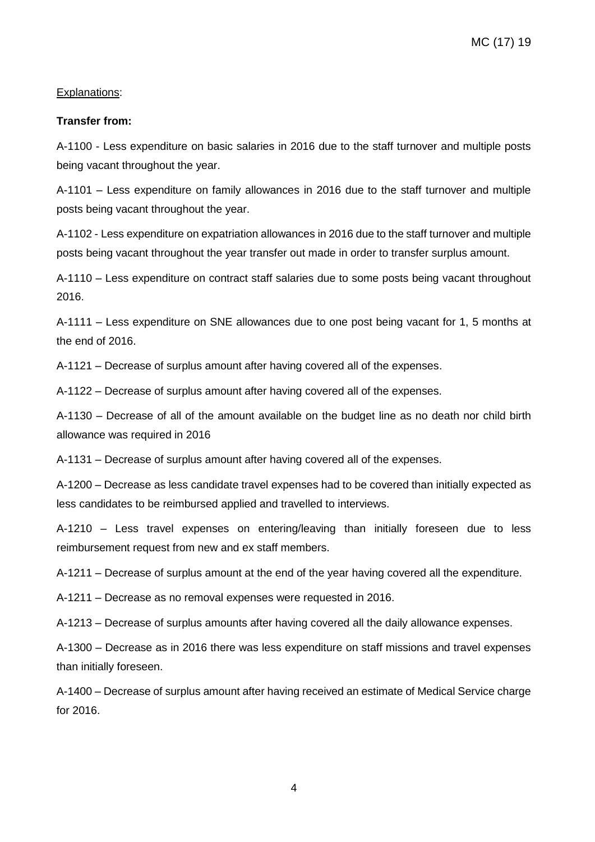#### Explanations:

#### **Transfer from:**

A-1100 - Less expenditure on basic salaries in 2016 due to the staff turnover and multiple posts being vacant throughout the year.

A-1101 – Less expenditure on family allowances in 2016 due to the staff turnover and multiple posts being vacant throughout the year.

A-1102 - Less expenditure on expatriation allowances in 2016 due to the staff turnover and multiple posts being vacant throughout the year transfer out made in order to transfer surplus amount.

A-1110 – Less expenditure on contract staff salaries due to some posts being vacant throughout 2016.

A-1111 – Less expenditure on SNE allowances due to one post being vacant for 1, 5 months at the end of 2016.

A-1121 – Decrease of surplus amount after having covered all of the expenses.

A-1122 – Decrease of surplus amount after having covered all of the expenses.

A-1130 – Decrease of all of the amount available on the budget line as no death nor child birth allowance was required in 2016

A-1131 – Decrease of surplus amount after having covered all of the expenses.

A-1200 – Decrease as less candidate travel expenses had to be covered than initially expected as less candidates to be reimbursed applied and travelled to interviews.

A-1210 – Less travel expenses on entering/leaving than initially foreseen due to less reimbursement request from new and ex staff members.

A-1211 – Decrease of surplus amount at the end of the year having covered all the expenditure.

A-1211 – Decrease as no removal expenses were requested in 2016.

A-1213 – Decrease of surplus amounts after having covered all the daily allowance expenses.

A-1300 – Decrease as in 2016 there was less expenditure on staff missions and travel expenses than initially foreseen.

A-1400 – Decrease of surplus amount after having received an estimate of Medical Service charge for 2016.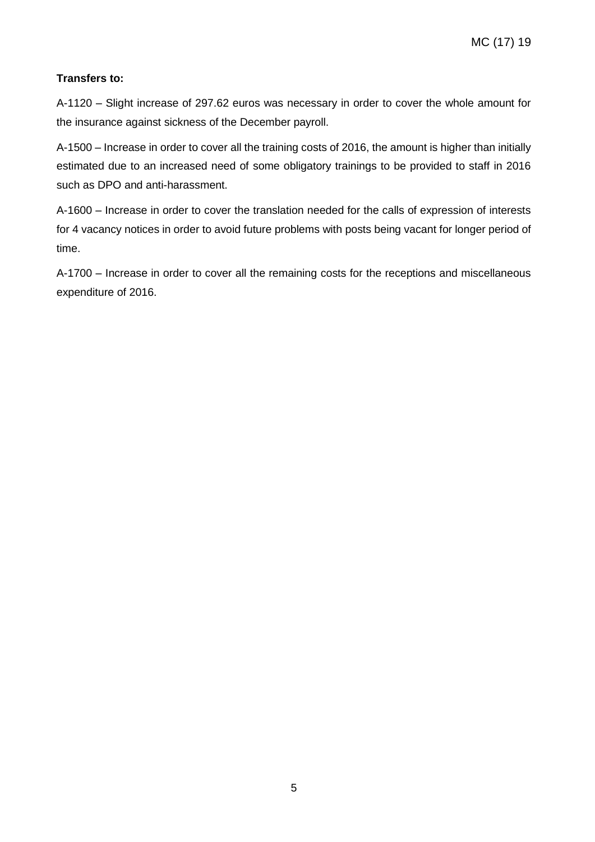#### **Transfers to:**

A-1120 – Slight increase of 297.62 euros was necessary in order to cover the whole amount for the insurance against sickness of the December payroll.

A-1500 – Increase in order to cover all the training costs of 2016, the amount is higher than initially estimated due to an increased need of some obligatory trainings to be provided to staff in 2016 such as DPO and anti-harassment.

A-1600 – Increase in order to cover the translation needed for the calls of expression of interests for 4 vacancy notices in order to avoid future problems with posts being vacant for longer period of time.

A-1700 – Increase in order to cover all the remaining costs for the receptions and miscellaneous expenditure of 2016.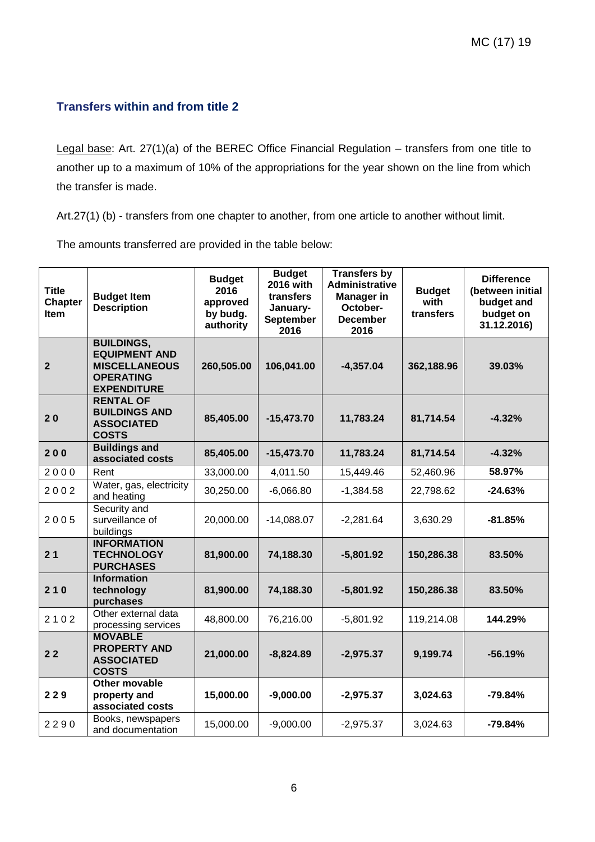### **Transfers within and from title 2**

Legal base: Art. 27(1)(a) of the BEREC Office Financial Regulation – transfers from one title to another up to a maximum of 10% of the appropriations for the year shown on the line from which the transfer is made.

Art.27(1) (b) - transfers from one chapter to another, from one article to another without limit.

The amounts transferred are provided in the table below:

| <b>Title</b><br><b>Chapter</b><br><b>Item</b> | <b>Budget Item</b><br><b>Description</b>                                                                    | <b>Budget</b><br>2016<br>approved<br>by budg.<br>authority | <b>Budget</b><br><b>2016 with</b><br>transfers<br>January-<br>September<br>2016 | <b>Transfers by</b><br>Administrative<br><b>Manager in</b><br>October-<br><b>December</b><br>2016 | <b>Budget</b><br>with<br>transfers | <b>Difference</b><br>(between initial<br>budget and<br>budget on<br>31.12.2016) |
|-----------------------------------------------|-------------------------------------------------------------------------------------------------------------|------------------------------------------------------------|---------------------------------------------------------------------------------|---------------------------------------------------------------------------------------------------|------------------------------------|---------------------------------------------------------------------------------|
| $\overline{2}$                                | <b>BUILDINGS,</b><br><b>EQUIPMENT AND</b><br><b>MISCELLANEOUS</b><br><b>OPERATING</b><br><b>EXPENDITURE</b> | 260,505.00                                                 | 106,041.00                                                                      | $-4,357.04$                                                                                       | 362,188.96                         | 39.03%                                                                          |
| 20                                            | <b>RENTAL OF</b><br><b>BUILDINGS AND</b><br><b>ASSOCIATED</b><br><b>COSTS</b>                               | 85,405.00                                                  | $-15,473.70$                                                                    | 11,783.24                                                                                         | 81,714.54                          | $-4.32%$                                                                        |
| 200                                           | <b>Buildings and</b><br>associated costs                                                                    | 85,405.00                                                  | $-15,473.70$                                                                    | 11,783.24                                                                                         | 81,714.54                          | $-4.32%$                                                                        |
| 2000                                          | Rent                                                                                                        | 33,000.00                                                  | 4,011.50                                                                        | 15,449.46                                                                                         | 52,460.96                          | 58.97%                                                                          |
| 2002                                          | Water, gas, electricity<br>and heating                                                                      | 30,250.00                                                  | $-6,066.80$                                                                     | $-1,384.58$                                                                                       | 22,798.62                          | $-24.63%$                                                                       |
| 2005                                          | Security and<br>surveillance of<br>buildings                                                                | 20,000.00                                                  | $-14,088.07$                                                                    | $-2,281.64$                                                                                       | 3,630.29                           | $-81.85%$                                                                       |
| 21                                            | <b>INFORMATION</b><br><b>TECHNOLOGY</b><br><b>PURCHASES</b>                                                 | 81,900.00                                                  | 74,188.30                                                                       | $-5,801.92$                                                                                       | 150,286.38                         | 83.50%                                                                          |
| 210                                           | <b>Information</b><br>technology<br>purchases                                                               | 81,900.00                                                  | 74,188.30                                                                       | $-5,801.92$                                                                                       | 150,286.38                         | 83.50%                                                                          |
| 2102                                          | Other external data<br>processing services                                                                  | 48,800.00                                                  | 76,216.00                                                                       | $-5,801.92$                                                                                       | 119,214.08                         | 144.29%                                                                         |
| 22                                            | <b>MOVABLE</b><br><b>PROPERTY AND</b><br><b>ASSOCIATED</b><br><b>COSTS</b>                                  | 21,000.00                                                  | $-8,824.89$                                                                     | $-2,975.37$                                                                                       | 9,199.74                           | $-56.19%$                                                                       |
| 229                                           | Other movable<br>property and<br>associated costs                                                           | 15,000.00                                                  | $-9,000.00$                                                                     | $-2,975.37$                                                                                       | 3,024.63                           | $-79.84%$                                                                       |
| 2290                                          | Books, newspapers<br>and documentation                                                                      | 15,000.00                                                  | $-9,000.00$                                                                     | $-2,975.37$                                                                                       | 3,024.63                           | $-79.84%$                                                                       |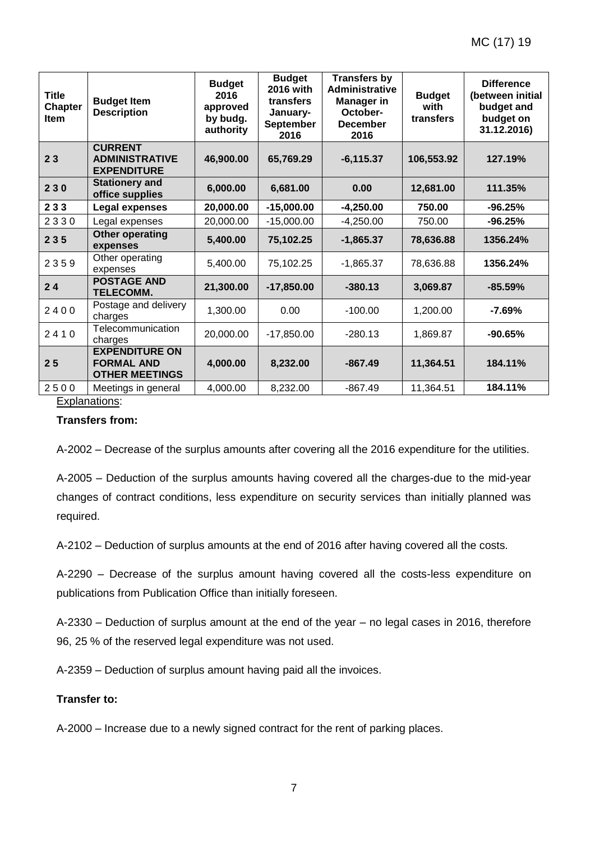| <b>Title</b><br><b>Chapter</b><br><b>Item</b> | <b>Budget Item</b><br><b>Description</b>                            | <b>Budget</b><br>2016<br>approved<br>by budg.<br>authority | <b>Budget</b><br>2016 with<br>transfers<br>January-<br>September<br>2016 | <b>Transfers by</b><br><b>Administrative</b><br><b>Manager in</b><br>October-<br><b>December</b><br>2016 | <b>Budget</b><br>with<br>transfers | <b>Difference</b><br>(between initial<br>budget and<br>budget on<br>31.12.2016) |
|-----------------------------------------------|---------------------------------------------------------------------|------------------------------------------------------------|--------------------------------------------------------------------------|----------------------------------------------------------------------------------------------------------|------------------------------------|---------------------------------------------------------------------------------|
| 23                                            | <b>CURRENT</b><br><b>ADMINISTRATIVE</b><br><b>EXPENDITURE</b>       | 46,900.00                                                  | 65,769.29                                                                | $-6, 115.37$                                                                                             | 106,553.92                         | 127.19%                                                                         |
| 230                                           | <b>Stationery and</b><br>office supplies                            | 6,000.00                                                   | 6,681.00                                                                 | 0.00                                                                                                     | 12,681.00                          | 111.35%                                                                         |
| 233                                           | <b>Legal expenses</b>                                               | 20,000.00                                                  | $-15,000.00$                                                             | $-4,250.00$                                                                                              | 750.00                             | $-96.25%$                                                                       |
| 2330                                          | Legal expenses                                                      | 20,000.00                                                  | $-15,000.00$                                                             | $-4,250.00$                                                                                              | 750.00                             | $-96.25%$                                                                       |
| 235                                           | <b>Other operating</b><br>expenses                                  | 5,400.00                                                   | 75,102.25                                                                | $-1,865.37$                                                                                              | 78,636.88                          | 1356.24%                                                                        |
| 2359                                          | Other operating<br>expenses                                         | 5,400.00                                                   | 75,102.25                                                                | $-1,865.37$                                                                                              | 78,636.88                          | 1356.24%                                                                        |
| 24                                            | <b>POSTAGE AND</b><br><b>TELECOMM.</b>                              | 21,300.00                                                  | $-17,850.00$                                                             | $-380.13$                                                                                                | 3,069.87                           | $-85.59%$                                                                       |
| 2400                                          | Postage and delivery<br>charges                                     | 1,300.00                                                   | 0.00                                                                     | $-100.00$                                                                                                | 1,200.00                           | -7.69%                                                                          |
| 2410                                          | Telecommunication<br>charges                                        | 20,000.00                                                  | $-17,850.00$                                                             | $-280.13$                                                                                                | 1,869.87                           | $-90.65%$                                                                       |
| 25                                            | <b>EXPENDITURE ON</b><br><b>FORMAL AND</b><br><b>OTHER MEETINGS</b> | 4,000.00                                                   | 8.232.00                                                                 | $-867.49$                                                                                                | 11,364.51                          | 184.11%                                                                         |
| 2500                                          | Meetings in general                                                 | 4,000.00                                                   | 8,232.00                                                                 | $-867.49$                                                                                                | 11,364.51                          | 184.11%                                                                         |

#### Explanations:

#### **Transfers from:**

A-2002 – Decrease of the surplus amounts after covering all the 2016 expenditure for the utilities.

A-2005 – Deduction of the surplus amounts having covered all the charges-due to the mid-year changes of contract conditions, less expenditure on security services than initially planned was required.

A-2102 – Deduction of surplus amounts at the end of 2016 after having covered all the costs.

A-2290 – Decrease of the surplus amount having covered all the costs-less expenditure on publications from Publication Office than initially foreseen.

A-2330 – Deduction of surplus amount at the end of the year – no legal cases in 2016, therefore 96, 25 % of the reserved legal expenditure was not used.

A-2359 – Deduction of surplus amount having paid all the invoices.

#### **Transfer to:**

A-2000 – Increase due to a newly signed contract for the rent of parking places.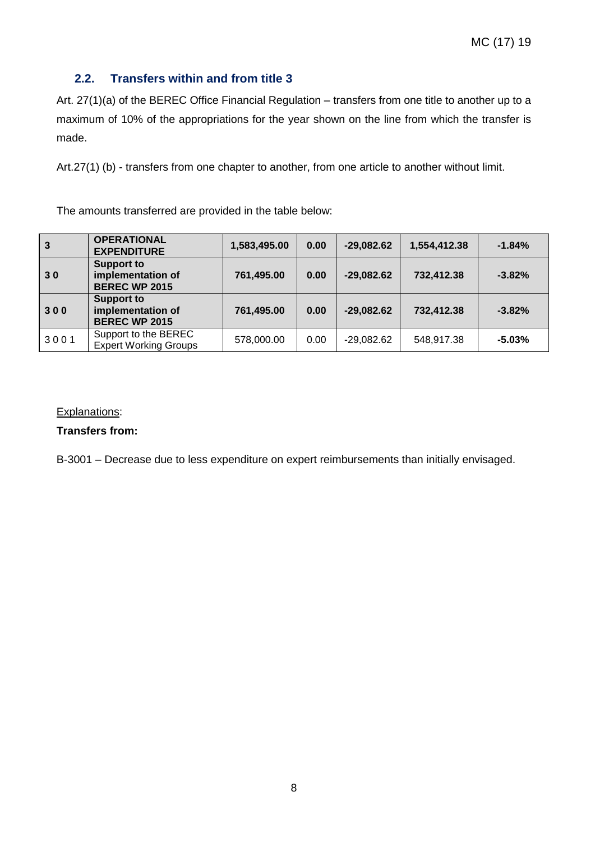## **2.2. Transfers within and from title 3**

Art. 27(1)(a) of the BEREC Office Financial Regulation – transfers from one title to another up to a maximum of 10% of the appropriations for the year shown on the line from which the transfer is made.

Art.27(1) (b) - transfers from one chapter to another, from one article to another without limit.

The amounts transferred are provided in the table below:

| 3    | <b>OPERATIONAL</b><br><b>EXPENDITURE</b>                       | 1,583,495.00 | 0.00 | $-29,082.62$ | 1,554,412.38 | $-1.84%$  |
|------|----------------------------------------------------------------|--------------|------|--------------|--------------|-----------|
| 30   | <b>Support to</b><br>implementation of<br><b>BEREC WP 2015</b> | 761,495.00   | 0.00 | $-29,082.62$ | 732,412.38   | $-3.82%$  |
| 300  | <b>Support to</b><br>implementation of<br><b>BEREC WP 2015</b> | 761,495.00   | 0.00 | $-29,082.62$ | 732,412.38   | $-3.82%$  |
| 3001 | Support to the BEREC<br><b>Expert Working Groups</b>           | 578,000.00   | 0.00 | $-29,082.62$ | 548,917.38   | $-5.03\%$ |

#### Explanations:

#### **Transfers from:**

B-3001 – Decrease due to less expenditure on expert reimbursements than initially envisaged.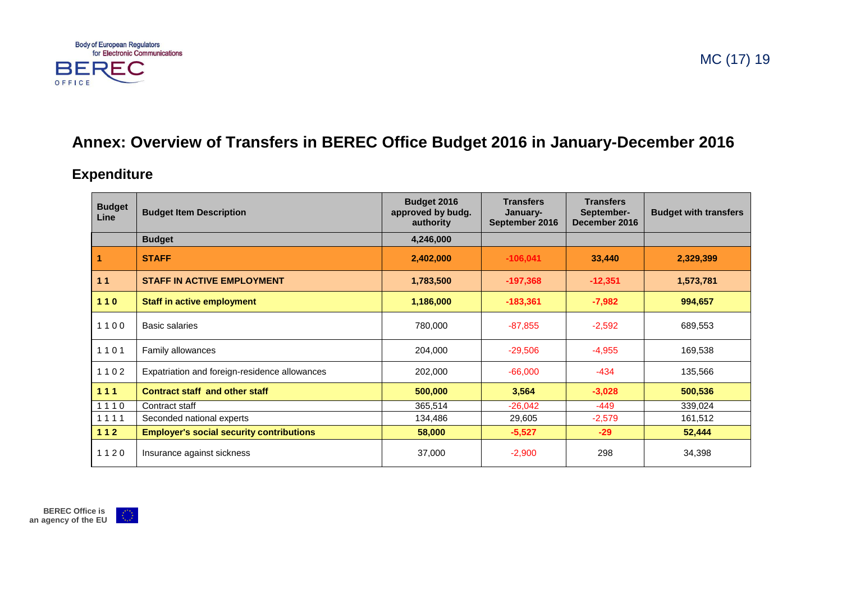

## **Annex: Overview of Transfers in BEREC Office Budget 2016 in January-December 2016**

## **Expenditure**

| <b>Budget</b><br>Line | <b>Budget Item Description</b>                  | <b>Budget 2016</b><br>approved by budg.<br>authority | <b>Transfers</b><br>January-<br>September 2016 | <b>Transfers</b><br>September-<br>December 2016 | <b>Budget with transfers</b> |
|-----------------------|-------------------------------------------------|------------------------------------------------------|------------------------------------------------|-------------------------------------------------|------------------------------|
|                       | <b>Budget</b>                                   | 4,246,000                                            |                                                |                                                 |                              |
|                       | <b>STAFF</b>                                    | 2,402,000                                            | $-106,041$                                     | 33,440                                          | 2,329,399                    |
| 11                    | <b>STAFF IN ACTIVE EMPLOYMENT</b>               | 1,783,500                                            | $-197,368$                                     | $-12,351$                                       | 1,573,781                    |
| 110                   | <b>Staff in active employment</b>               | 1,186,000                                            | $-183,361$                                     | $-7,982$                                        | 994,657                      |
| 1100                  | Basic salaries                                  | 780,000                                              | $-87,855$                                      | $-2,592$                                        | 689,553                      |
| 1101                  | Family allowances                               | 204,000                                              | $-29,506$                                      | $-4,955$                                        | 169,538                      |
| 1102                  | Expatriation and foreign-residence allowances   | 202,000                                              | $-66,000$                                      | $-434$                                          | 135,566                      |
| 111                   | <b>Contract staff and other staff</b>           | 500,000                                              | 3,564                                          | $-3,028$                                        | 500,536                      |
| 1110                  | Contract staff                                  | 365,514                                              | $-26,042$                                      | $-449$                                          | 339,024                      |
| 1111                  | Seconded national experts                       | 134,486                                              | 29,605                                         | $-2,579$                                        | 161,512                      |
| 112                   | <b>Employer's social security contributions</b> | 58,000                                               | $-5,527$                                       | $-29$                                           | 52,444                       |
| 1120                  | Insurance against sickness                      | 37,000                                               | $-2,900$                                       | 298                                             | 34,398                       |

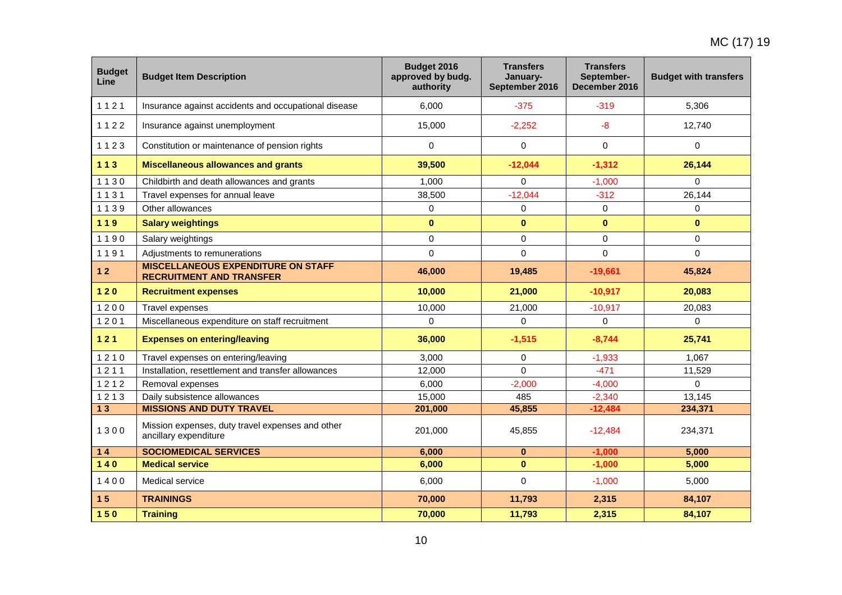| <b>Budget</b><br>Line | <b>Budget Item Description</b>                                               | Budget 2016<br>approved by budg.<br>authority | <b>Transfers</b><br>January-<br>September 2016 | <b>Transfers</b><br>September-<br>December 2016 | <b>Budget with transfers</b> |
|-----------------------|------------------------------------------------------------------------------|-----------------------------------------------|------------------------------------------------|-------------------------------------------------|------------------------------|
| 1121                  | Insurance against accidents and occupational disease                         | 6.000                                         | $-375$                                         | $-319$                                          | 5,306                        |
| 1122                  | Insurance against unemployment                                               | 15,000                                        | $-2,252$                                       | $-8$                                            | 12,740                       |
| 1123                  | Constitution or maintenance of pension rights                                | 0                                             | $\mathbf 0$                                    | 0                                               | 0                            |
| $113$                 | <b>Miscellaneous allowances and grants</b>                                   | 39,500                                        | $-12,044$                                      | $-1,312$                                        | 26,144                       |
| 1130                  | Childbirth and death allowances and grants                                   | 1.000                                         | $\Omega$                                       | $-1.000$                                        | 0                            |
| 1131                  | Travel expenses for annual leave                                             | 38,500                                        | $-12,044$                                      | $-312$                                          | 26,144                       |
| 1139                  | Other allowances                                                             | 0                                             | $\mathbf 0$                                    | 0                                               | 0                            |
| 119                   | <b>Salary weightings</b>                                                     | $\bf{0}$                                      | $\bf{0}$                                       | $\mathbf{0}$                                    | $\bf{0}$                     |
| 1190                  | Salary weightings                                                            | $\mathbf 0$                                   | $\Omega$                                       | 0                                               | $\pmb{0}$                    |
| 1191                  | Adjustments to remunerations                                                 | $\overline{0}$                                | $\Omega$                                       | 0                                               | $\Omega$                     |
| $12$                  | <b>MISCELLANEOUS EXPENDITURE ON STAFF</b><br><b>RECRUITMENT AND TRANSFER</b> | 46,000                                        | 19,485                                         | $-19,661$                                       | 45,824                       |
| $120$                 | <b>Recruitment expenses</b>                                                  | 10,000                                        | 21,000                                         | $-10,917$                                       | 20,083                       |
| 1200                  | Travel expenses                                                              | 10,000                                        | 21,000                                         | $-10,917$                                       | 20,083                       |
| 1201                  | Miscellaneous expenditure on staff recruitment                               | $\Omega$                                      | $\Omega$                                       | $\Omega$                                        | $\Omega$                     |
| $121$                 | <b>Expenses on entering/leaving</b>                                          | 36,000                                        | $-1,515$                                       | $-8,744$                                        | 25,741                       |
| 1210                  | Travel expenses on entering/leaving                                          | 3,000                                         | $\mathbf 0$                                    | $-1,933$                                        | 1,067                        |
| 1211                  | Installation, resettlement and transfer allowances                           | 12,000                                        | $\Omega$                                       | $-471$                                          | 11,529                       |
| 1212                  | Removal expenses                                                             | 6,000                                         | $-2,000$                                       | $-4,000$                                        | 0                            |
| 1213                  | Daily subsistence allowances                                                 | 15,000                                        | 485                                            | $-2,340$                                        | 13,145                       |
| 13                    | <b>MISSIONS AND DUTY TRAVEL</b>                                              | 201,000                                       | 45,855                                         | $-12,484$                                       | 234,371                      |
| 1300                  | Mission expenses, duty travel expenses and other<br>ancillary expenditure    | 201,000                                       | 45,855                                         | $-12,484$                                       | 234,371                      |
| 14                    | <b>SOCIOMEDICAL SERVICES</b>                                                 | 6,000                                         | $\bf{0}$                                       | $-1,000$                                        | 5,000                        |
| $140$                 | <b>Medical service</b>                                                       | 6,000                                         | $\mathbf{0}$                                   | $-1,000$                                        | 5,000                        |
| 1400                  | Medical service                                                              | 6,000                                         | $\Omega$                                       | $-1,000$                                        | 5,000                        |
| 15                    | <b>TRAININGS</b>                                                             | 70,000                                        | 11,793                                         | 2,315                                           | 84,107                       |
| 150                   | <b>Training</b>                                                              | 70,000                                        | 11,793                                         | 2,315                                           | 84,107                       |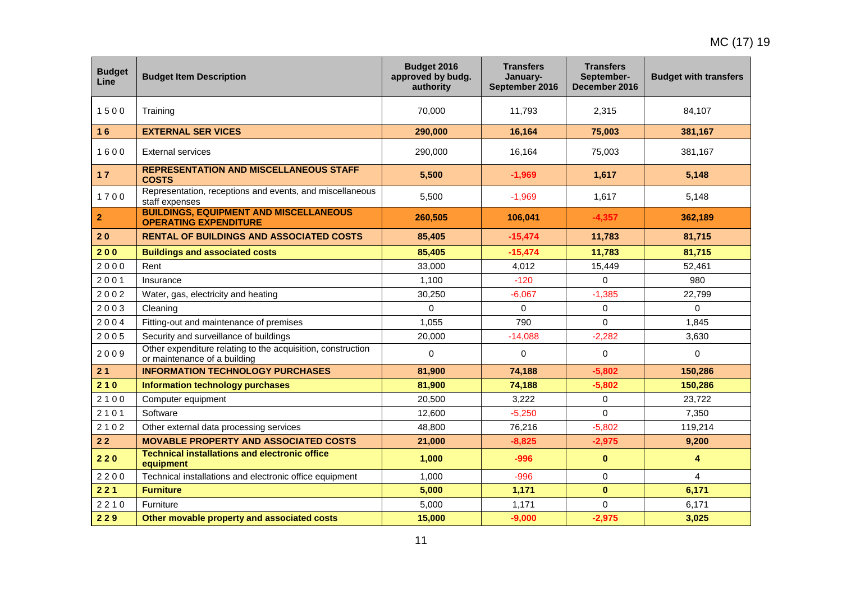| <b>Budget</b><br><b>Line</b> | <b>Budget Item Description</b>                                                              | Budget 2016<br>approved by budg.<br>authority | <b>Transfers</b><br>January-<br>September 2016 | <b>Transfers</b><br>September-<br>December 2016 | <b>Budget with transfers</b> |
|------------------------------|---------------------------------------------------------------------------------------------|-----------------------------------------------|------------------------------------------------|-------------------------------------------------|------------------------------|
| 1500                         | Training                                                                                    | 70,000                                        | 11,793                                         | 2,315                                           | 84,107                       |
| 16                           | <b>EXTERNAL SER VICES</b>                                                                   | 290,000                                       | 16,164                                         | 75,003                                          | 381,167                      |
| 1600                         | <b>External services</b>                                                                    | 290,000                                       | 16,164                                         | 75,003                                          | 381,167                      |
| 17                           | <b>REPRESENTATION AND MISCELLANEOUS STAFF</b><br><b>COSTS</b>                               | 5,500                                         | $-1,969$                                       | 1,617                                           | 5,148                        |
| 1700                         | Representation, receptions and events, and miscellaneous<br>staff expenses                  | 5,500                                         | $-1,969$                                       | 1,617                                           | 5,148                        |
| $\overline{\mathbf{2}}$      | <b>BUILDINGS, EQUIPMENT AND MISCELLANEOUS</b><br><b>OPERATING EXPENDITURE</b>               | 260,505                                       | 106,041                                        | $-4,357$                                        | 362,189                      |
| 20                           | <b>RENTAL OF BUILDINGS AND ASSOCIATED COSTS</b>                                             | 85,405                                        | $-15,474$                                      | 11,783                                          | 81,715                       |
| 200                          | <b>Buildings and associated costs</b>                                                       | 85,405                                        | $-15,474$                                      | 11,783                                          | 81,715                       |
| 2000                         | Rent                                                                                        | 33,000                                        | 4.012                                          | 15,449                                          | 52.461                       |
| 2001                         | Insurance                                                                                   | 1,100                                         | $-120$                                         | $\Omega$                                        | 980                          |
| 2002                         | Water, gas, electricity and heating                                                         | 30,250                                        | $-6,067$                                       | $-1,385$                                        | 22,799                       |
| 2003                         | Cleaning                                                                                    | $\Omega$                                      | 0                                              | 0                                               | $\Omega$                     |
| 2004                         | Fitting-out and maintenance of premises                                                     | 1,055                                         | 790                                            | $\Omega$                                        | 1,845                        |
| 2005                         | Security and surveillance of buildings                                                      | 20,000                                        | $-14,088$                                      | $-2,282$                                        | 3,630                        |
| 2009                         | Other expenditure relating to the acquisition, construction<br>or maintenance of a building | 0                                             | $\mathbf 0$                                    | 0                                               | $\mathbf 0$                  |
| 21                           | <b>INFORMATION TECHNOLOGY PURCHASES</b>                                                     | 81,900                                        | 74,188                                         | $-5,802$                                        | 150,286                      |
| 210                          | <b>Information technology purchases</b>                                                     | 81,900                                        | 74,188                                         | $-5,802$                                        | 150,286                      |
| 2100                         | Computer equipment                                                                          | 20,500                                        | 3,222                                          | 0                                               | 23,722                       |
| 2101                         | Software                                                                                    | 12,600                                        | $-5,250$                                       | 0                                               | 7,350                        |
| 2102                         | Other external data processing services                                                     | 48,800                                        | 76,216                                         | $-5,802$                                        | 119,214                      |
| 22                           | <b>MOVABLE PROPERTY AND ASSOCIATED COSTS</b>                                                | 21,000                                        | $-8,825$                                       | $-2,975$                                        | 9,200                        |
| 220                          | <b>Technical installations and electronic office</b><br>equipment                           | 1,000                                         | $-996$                                         | $\mathbf 0$                                     | $\overline{4}$               |
| 2200                         | Technical installations and electronic office equipment                                     | 1,000                                         | $-996$                                         | 0                                               | $\overline{4}$               |
| 221                          | <b>Furniture</b>                                                                            | 5,000                                         | 1,171                                          | $\bf{0}$                                        | 6,171                        |
| 2210                         | <b>Furniture</b>                                                                            | 5,000                                         | 1,171                                          | $\Omega$                                        | 6,171                        |
| 229                          | Other movable property and associated costs                                                 | 15,000                                        | $-9,000$                                       | $-2,975$                                        | 3,025                        |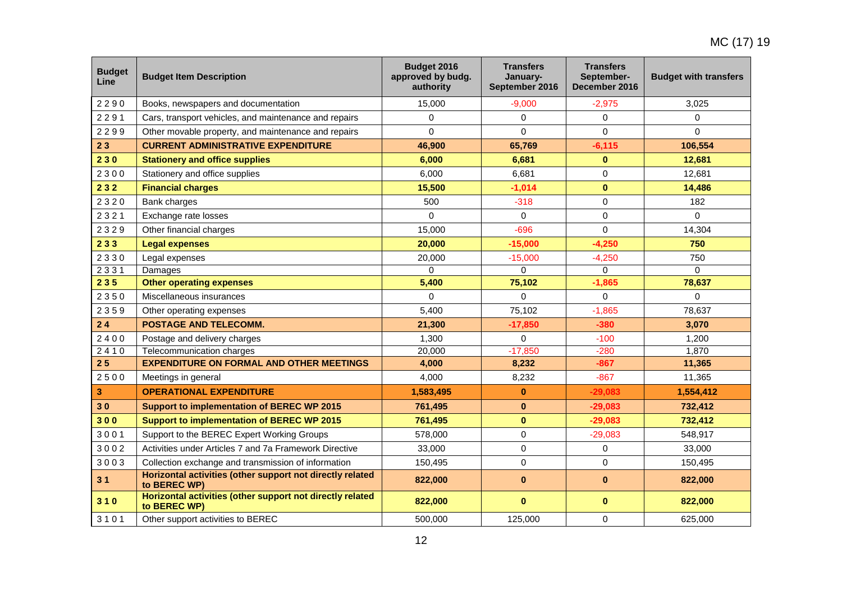| <b>Budget</b><br>Line | <b>Budget Item Description</b>                                            | Budget 2016<br>approved by budg.<br>authority | <b>Transfers</b><br>January-<br>September 2016 | <b>Transfers</b><br>September-<br>December 2016 | <b>Budget with transfers</b> |
|-----------------------|---------------------------------------------------------------------------|-----------------------------------------------|------------------------------------------------|-------------------------------------------------|------------------------------|
| 2290                  | Books, newspapers and documentation                                       | 15,000                                        | $-9,000$                                       | $-2,975$                                        | 3,025                        |
| 2291                  | Cars, transport vehicles, and maintenance and repairs                     | $\Omega$                                      | $\Omega$                                       | $\Omega$                                        | 0                            |
| 2299                  | Other movable property, and maintenance and repairs                       | 0                                             | $\mathbf 0$                                    | $\mathbf 0$                                     | 0                            |
| 23                    | <b>CURRENT ADMINISTRATIVE EXPENDITURE</b>                                 | 46,900                                        | 65,769                                         | $-6,115$                                        | 106,554                      |
| 230                   | <b>Stationery and office supplies</b>                                     | 6,000                                         | 6,681                                          | $\bf{0}$                                        | 12,681                       |
| 2300                  | Stationery and office supplies                                            | 6,000                                         | 6,681                                          | $\Omega$                                        | 12,681                       |
| 232                   | <b>Financial charges</b>                                                  | 15,500                                        | $-1,014$                                       | $\mathbf 0$                                     | 14,486                       |
| 2320                  | Bank charges                                                              | 500                                           | $-318$                                         | 0                                               | 182                          |
| 2321                  | Exchange rate losses                                                      | $\overline{0}$                                | $\Omega$                                       | 0                                               | $\Omega$                     |
| 2329                  | Other financial charges                                                   | 15,000                                        | $-696$                                         | $\Omega$                                        | 14,304                       |
| 233                   | <b>Legal expenses</b>                                                     | 20,000                                        | $-15,000$                                      | $-4,250$                                        | 750                          |
| 2330                  | Legal expenses                                                            | 20,000                                        | $-15,000$                                      | $-4,250$                                        | 750                          |
| 2331                  | Damages                                                                   | 0                                             | $\mathbf 0$                                    | $\mathbf 0$                                     | $\Omega$                     |
| 235                   | <b>Other operating expenses</b>                                           | 5,400                                         | 75,102                                         | $-1,865$                                        | 78,637                       |
| 2350                  | Miscellaneous insurances                                                  | $\Omega$                                      | $\Omega$                                       | $\Omega$                                        | 0                            |
| 2359                  | Other operating expenses                                                  | 5,400                                         | 75,102                                         | $-1,865$                                        | 78,637                       |
| 24                    | POSTAGE AND TELECOMM.                                                     | 21,300                                        | $-17,850$                                      | $-380$                                          | 3,070                        |
| 2400                  | Postage and delivery charges                                              | 1,300                                         | $\Omega$                                       | $-100$                                          | 1,200                        |
| 2410                  | Telecommunication charges                                                 | 20,000                                        | $-17,850$                                      | $-280$                                          | 1,870                        |
| 25                    | <b>EXPENDITURE ON FORMAL AND OTHER MEETINGS</b>                           | 4,000                                         | 8,232                                          | $-867$                                          | 11,365                       |
| 2500                  | Meetings in general                                                       | 4,000                                         | 8,232                                          | $-867$                                          | 11,365                       |
| 3                     | <b>OPERATIONAL EXPENDITURE</b>                                            | 1,583,495                                     | $\bf{0}$                                       | $-29,083$                                       | 1,554,412                    |
| 30                    | Support to implementation of BEREC WP 2015                                | 761,495                                       | $\bf{0}$                                       | $-29,083$                                       | 732,412                      |
| 300                   | <b>Support to implementation of BEREC WP 2015</b>                         | 761,495                                       | $\mathbf{0}$                                   | $-29,083$                                       | 732,412                      |
| 3001                  | Support to the BEREC Expert Working Groups                                | 578,000                                       | $\mathbf 0$                                    | $-29,083$                                       | 548,917                      |
| 3002                  | Activities under Articles 7 and 7a Framework Directive                    | 33,000                                        | 0                                              | 0                                               | 33,000                       |
| 3003                  | Collection exchange and transmission of information                       | 150,495                                       | $\Omega$                                       | $\Omega$                                        | 150,495                      |
| 31                    | Horizontal activities (other support not directly related<br>to BEREC WP) | 822,000                                       | $\mathbf{0}$                                   | $\mathbf{0}$                                    | 822,000                      |
| 310                   | Horizontal activities (other support not directly related<br>to BEREC WP) | 822,000                                       | $\mathbf{0}$                                   | $\bf{0}$                                        | 822,000                      |
| 3101                  | Other support activities to BEREC                                         | 500,000                                       | 125,000                                        | 0                                               | 625.000                      |